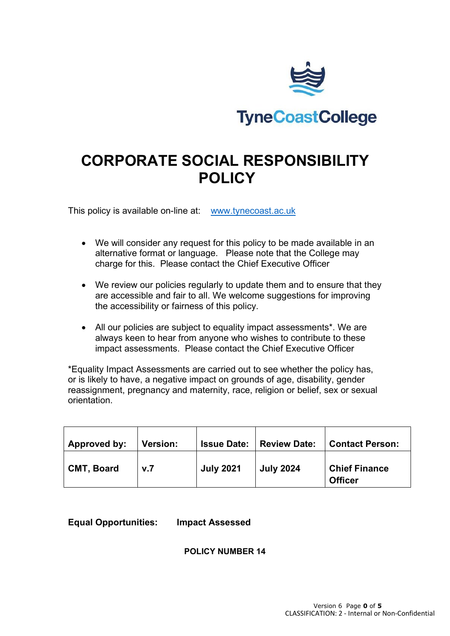

# **CORPORATE SOCIAL RESPONSIBILITY POLICY**

This policy is available on-line at: [www.tynecoast.ac.uk](http://www.tynecoast.ac.uk/)

- We will consider any request for this policy to be made available in an alternative format or language. Please note that the College may charge for this. Please contact the Chief Executive Officer
- We review our policies regularly to update them and to ensure that they are accessible and fair to all. We welcome suggestions for improving the accessibility or fairness of this policy.
- All our policies are subject to equality impact assessments\*. We are always keen to hear from anyone who wishes to contribute to these impact assessments. Please contact the Chief Executive Officer

\*Equality Impact Assessments are carried out to see whether the policy has, or is likely to have, a negative impact on grounds of age, disability, gender reassignment, pregnancy and maternity, race, religion or belief, sex or sexual orientation.

| Approved by:      | <b>Version:</b> | <b>Issue Date:</b> | <b>Review Date:</b> | <b>Contact Person:</b>                 |
|-------------------|-----------------|--------------------|---------------------|----------------------------------------|
| <b>CMT, Board</b> | v.7             | <b>July 2021</b>   | <b>July 2024</b>    | <b>Chief Finance</b><br><b>Officer</b> |

**Equal Opportunities: Impact Assessed**

**POLICY NUMBER 14**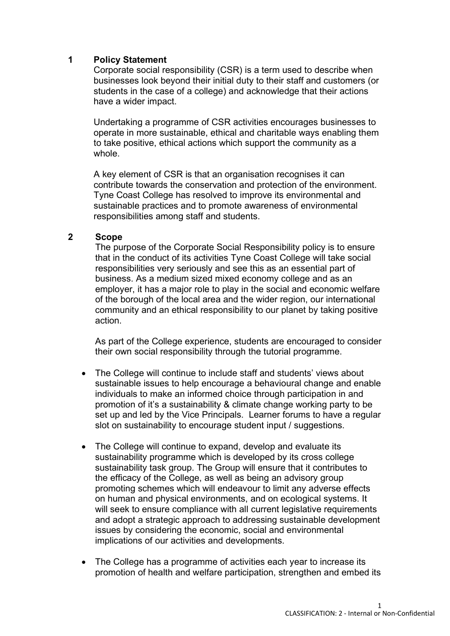# **1 Policy Statement**

Corporate social responsibility (CSR) is a term used to describe when businesses look beyond their initial duty to their staff and customers (or students in the case of a college) and acknowledge that their actions have a wider impact.

Undertaking a programme of CSR activities encourages businesses to operate in more sustainable, ethical and charitable ways enabling them to take positive, ethical actions which support the community as a whole.

A key element of CSR is that an organisation recognises it can contribute towards the conservation and protection of the environment. Tyne Coast College has resolved to improve its environmental and sustainable practices and to promote awareness of environmental responsibilities among staff and students.

#### **2 Scope**

The purpose of the Corporate Social Responsibility policy is to ensure that in the conduct of its activities Tyne Coast College will take social responsibilities very seriously and see this as an essential part of business. As a medium sized mixed economy college and as an employer, it has a major role to play in the social and economic welfare of the borough of the local area and the wider region, our international community and an ethical responsibility to our planet by taking positive action.

As part of the College experience, students are encouraged to consider their own social responsibility through the tutorial programme.

- The College will continue to include staff and students' views about sustainable issues to help encourage a behavioural change and enable individuals to make an informed choice through participation in and promotion of it's a sustainability & climate change working party to be set up and led by the Vice Principals. Learner forums to have a regular slot on sustainability to encourage student input / suggestions.
- The College will continue to expand, develop and evaluate its sustainability programme which is developed by its cross college sustainability task group. The Group will ensure that it contributes to the efficacy of the College, as well as being an advisory group promoting schemes which will endeavour to limit any adverse effects on human and physical environments, and on ecological systems. It will seek to ensure compliance with all current legislative requirements and adopt a strategic approach to addressing sustainable development issues by considering the economic, social and environmental implications of our activities and developments.
- The College has a programme of activities each year to increase its promotion of health and welfare participation, strengthen and embed its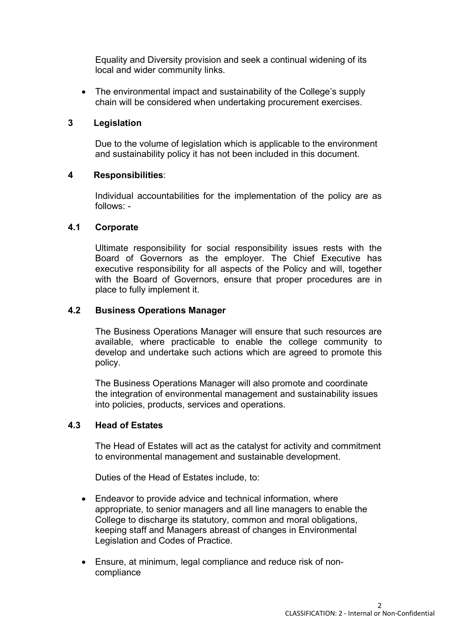Equality and Diversity provision and seek a continual widening of its local and wider community links.

• The environmental impact and sustainability of the College's supply chain will be considered when undertaking procurement exercises.

# **3 Legislation**

Due to the volume of legislation which is applicable to the environment and sustainability policy it has not been included in this document.

# **4 Responsibilities**:

Individual accountabilities for the implementation of the policy are as follows: -

# **4.1 Corporate**

Ultimate responsibility for social responsibility issues rests with the Board of Governors as the employer. The Chief Executive has executive responsibility for all aspects of the Policy and will, together with the Board of Governors, ensure that proper procedures are in place to fully implement it.

# **4.2 Business Operations Manager**

The Business Operations Manager will ensure that such resources are available, where practicable to enable the college community to develop and undertake such actions which are agreed to promote this policy.

The Business Operations Manager will also promote and coordinate the integration of environmental management and sustainability issues into policies, products, services and operations.

#### **4.3 Head of Estates**

The Head of Estates will act as the catalyst for activity and commitment to environmental management and sustainable development.

Duties of the Head of Estates include, to:

- Endeavor to provide advice and technical information, where appropriate, to senior managers and all line managers to enable the College to discharge its statutory, common and moral obligations, keeping staff and Managers abreast of changes in Environmental Legislation and Codes of Practice.
- Ensure, at minimum, legal compliance and reduce risk of noncompliance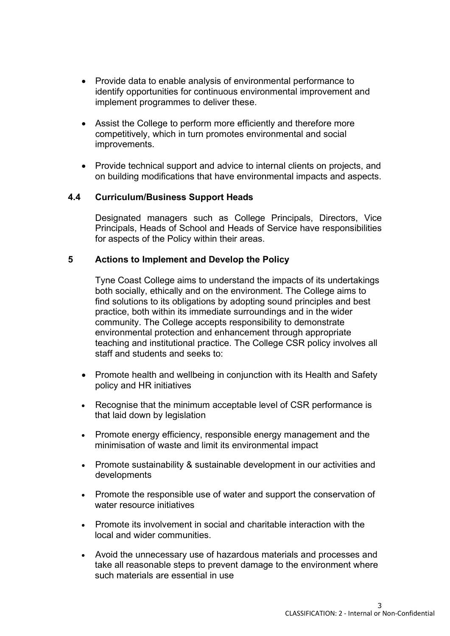- Provide data to enable analysis of environmental performance to identify opportunities for continuous environmental improvement and implement programmes to deliver these.
- Assist the College to perform more efficiently and therefore more competitively, which in turn promotes environmental and social improvements.
- Provide technical support and advice to internal clients on projects, and on building modifications that have environmental impacts and aspects.

# **4.4 Curriculum/Business Support Heads**

Designated managers such as College Principals, Directors, Vice Principals, Heads of School and Heads of Service have responsibilities for aspects of the Policy within their areas.

# **5 Actions to Implement and Develop the Policy**

Tyne Coast College aims to understand the impacts of its undertakings both socially, ethically and on the environment. The College aims to find solutions to its obligations by adopting sound principles and best practice, both within its immediate surroundings and in the wider community. The College accepts responsibility to demonstrate environmental protection and enhancement through appropriate teaching and institutional practice. The College CSR policy involves all staff and students and seeks to:

- Promote health and wellbeing in conjunction with its Health and Safety policy and HR initiatives
- Recognise that the minimum acceptable level of CSR performance is that laid down by legislation
- Promote energy efficiency, responsible energy management and the minimisation of waste and limit its environmental impact
- Promote sustainability & sustainable development in our activities and developments
- Promote the responsible use of water and support the conservation of water resource initiatives
- Promote its involvement in social and charitable interaction with the local and wider communities.
- Avoid the unnecessary use of hazardous materials and processes and take all reasonable steps to prevent damage to the environment where such materials are essential in use